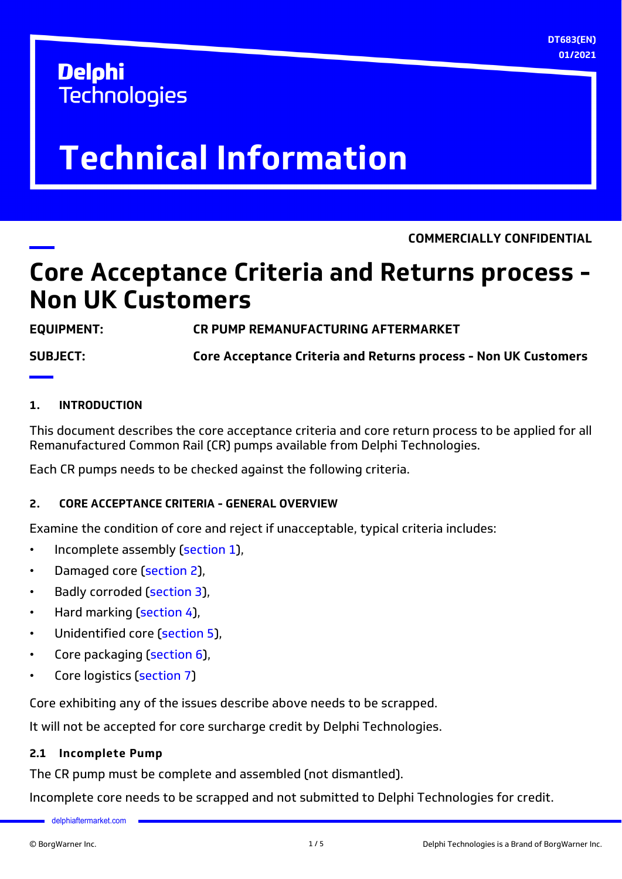**DT683(EN) 01/2021**

## **Delphi Technologies**

# **Technical Information**

**COMMERCIALLY CONFIDENTIAL**

## **Core Acceptance Criteria and Returns process - Non UK Customers**

**EQUIPMENT: CR PUMP REMANUFACTURING AFTERMARKET**

**SUBJECT: Core Acceptance Criteria and Returns process - Non UK Customers**

#### **1. INTRODUCTION**

This document describes the core acceptance criteria and core return process to be applied for all Remanufactured Common Rail (CR) pumps available from Delphi Technologies.

Each CR pumps needs to be checked against the following criteria.

#### **2. CORE ACCEPTANCE CRITERIA - GENERAL OVERVIEW**

Examine the condition of core and reject if unacceptable, typical criteria includes:

- Incomplete assembly (section 1),
- Damaged core [\(section 2](#page-1-0)),
- Badly corroded ([section 3\)](#page-1-0),
- Hard marking [\(section 4\)](#page-2-0),
- Unidentified core ([section 5](#page-2-0)).
- Core packaging [\(section 6](#page-2-0)),
- Core logistics [\(section 7](#page-3-0))

Core exhibiting any of the issues describe above needs to be scrapped.

It will not be accepted for core surcharge credit by Delphi Technologies.

#### **2.1 Incomplete Pump**

The CR pump must be complete and assembled (not dismantled).

Incomplete core needs to be scrapped and not submitted to Delphi Technologies for credit.

[delphiaftermarket.com](http://delphiafermarket.com)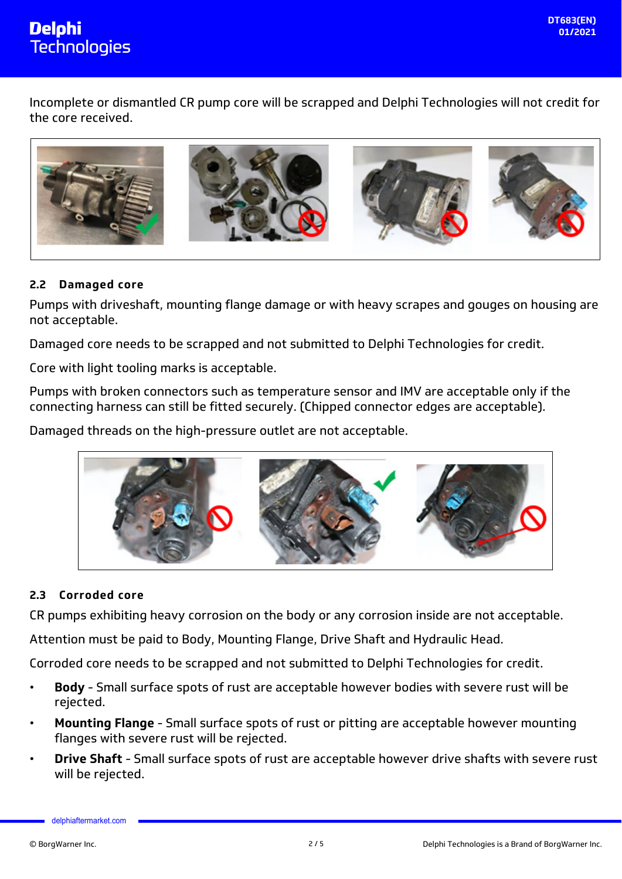<span id="page-1-0"></span>

Incomplete or dismantled CR pump core will be scrapped and Delphi Technologies will not credit for the core received.



#### **2.2 Damaged core**

Pumps with driveshaft, mounting flange damage or with heavy scrapes and gouges on housing are not acceptable.

Damaged core needs to be scrapped and not submitted to Delphi Technologies for credit.

Core with light tooling marks is acceptable.

Pumps with broken connectors such as temperature sensor and IMV are acceptable only if the connecting harness can still be fitted securely. (Chipped connector edges are acceptable).

Damaged threads on the high-pressure outlet are not acceptable.



#### **2.3 Corroded core**

CR pumps exhibiting heavy corrosion on the body or any corrosion inside are not acceptable.

Attention must be paid to Body, Mounting Flange, Drive Shaft and Hydraulic Head.

Corroded core needs to be scrapped and not submitted to Delphi Technologies for credit.

- **Body** Small surface spots of rust are acceptable however bodies with severe rust will be rejected.
- **Mounting Flange** Small surface spots of rust or pitting are acceptable however mounting flanges with severe rust will be rejected.
- **Drive Shaft** Small surface spots of rust are acceptable however drive shafts with severe rust will be rejected.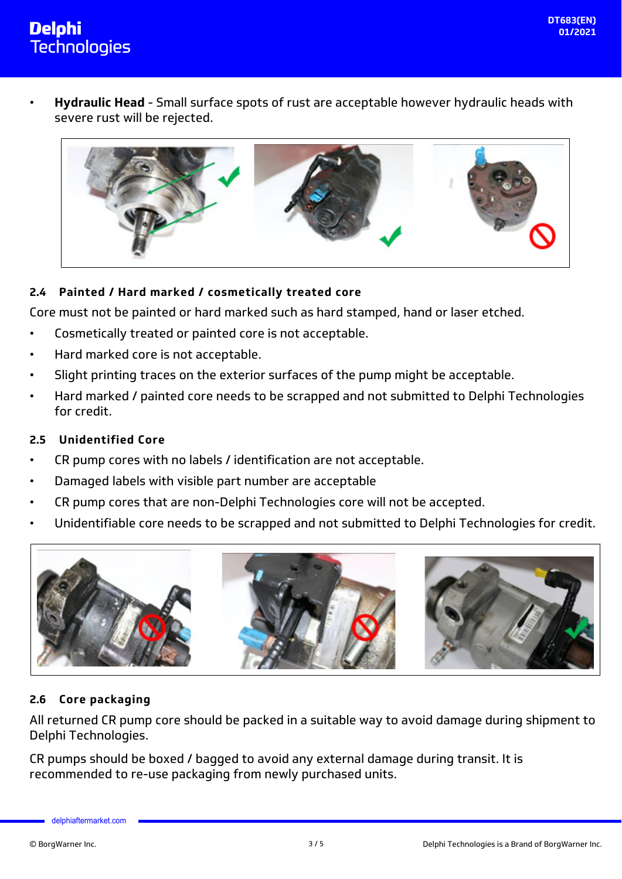<span id="page-2-0"></span>

• **Hydraulic Head** - Small surface spots of rust are acceptable however hydraulic heads with severe rust will be rejected.



#### **2.4 Painted / Hard marked / cosmetically treated core**

Core must not be painted or hard marked such as hard stamped, hand or laser etched.

- Cosmetically treated or painted core is not acceptable.
- Hard marked core is not acceptable.
- Slight printing traces on the exterior surfaces of the pump might be acceptable.
- Hard marked / painted core needs to be scrapped and not submitted to Delphi Technologies for credit.

#### **2.5 Unidentified Core**

- CR pump cores with no labels / identification are not acceptable.
- Damaged labels with visible part number are acceptable
- CR pump cores that are non-Delphi Technologies core will not be accepted.
- Unidentifiable core needs to be scrapped and not submitted to Delphi Technologies for credit.



#### **2.6 Core packaging**

All returned CR pump core should be packed in a suitable way to avoid damage during shipment to Delphi Technologies.

CR pumps should be boxed / bagged to avoid any external damage during transit. It is recommended to re-use packaging from newly purchased units.

[delphiaftermarket.com](http://delphiafermarket.com)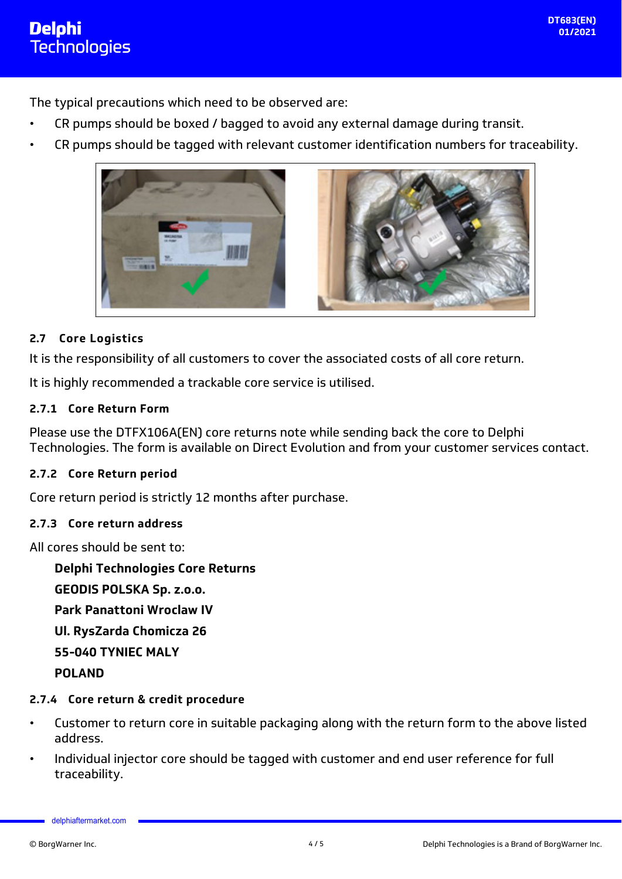<span id="page-3-0"></span>The typical precautions which need to be observed are:

- CR pumps should be boxed / bagged to avoid any external damage during transit.
- CR pumps should be tagged with relevant customer identification numbers for traceability.



#### **2.7 Core Logistics**

It is the responsibility of all customers to cover the associated costs of all core return.

It is highly recommended a trackable core service is utilised.

#### **2.7.1 Core Return Form**

Please use the DTFX106A(EN) core returns note while sending back the core to Delphi Technologies. The form is available on Direct Evolution and from your customer services contact.

#### **2.7.2 Core Return period**

Core return period is strictly 12 months after purchase.

#### **2.7.3 Core return address**

All cores should be sent to:

**Delphi Technologies Core Returns GEODIS POLSKA Sp. z.o.o. Park Panattoni Wroclaw IV Ul. RysZarda Chomicza 26 55-040 TYNIEC MALY POLAND**

#### **2.7.4 Core return & credit procedure**

- Customer to return core in suitable packaging along with the return form to the above listed address.
- Individual injector core should be tagged with customer and end user reference for full traceability.